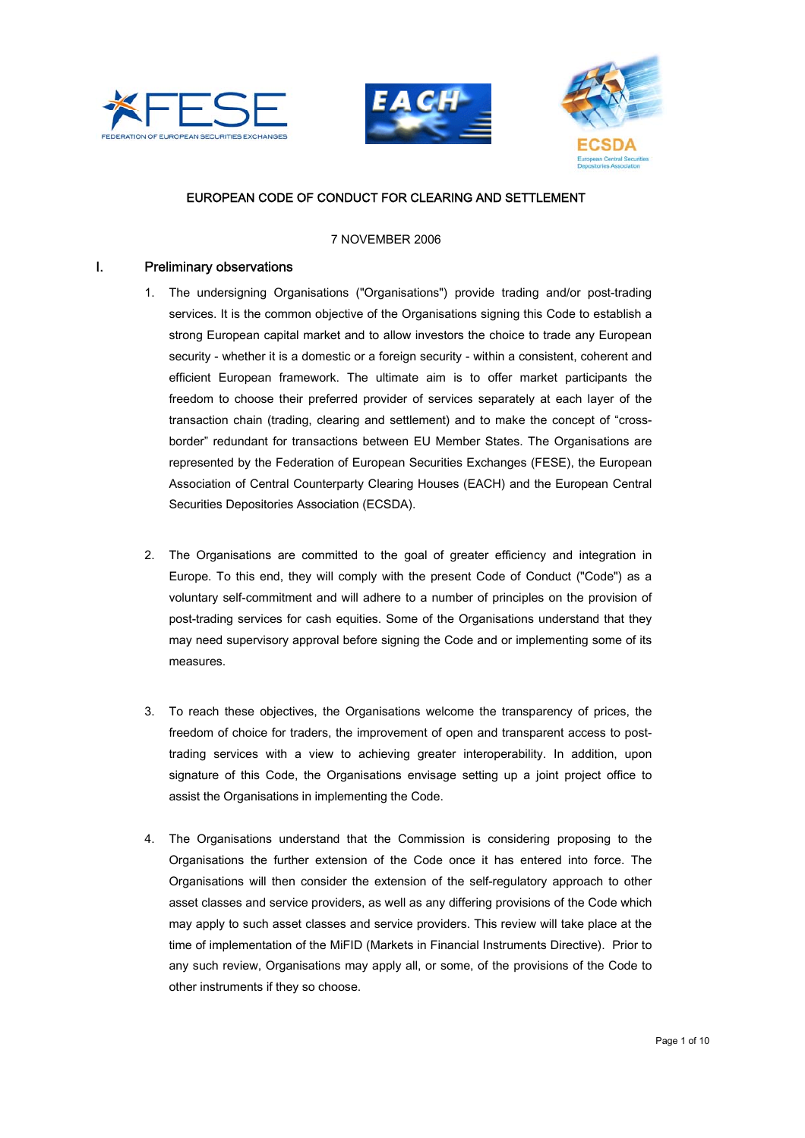





# EUROPEAN CODE OF CONDUCT FOR CLEARING AND SETTLEMENT

#### 7 NOVEMBER 2006

### I. Preliminary observations

- 1. The undersigning Organisations ("Organisations") provide trading and/or post-trading services. It is the common objective of the Organisations signing this Code to establish a strong European capital market and to allow investors the choice to trade any European security - whether it is a domestic or a foreign security - within a consistent, coherent and efficient European framework. The ultimate aim is to offer market participants the freedom to choose their preferred provider of services separately at each layer of the transaction chain (trading, clearing and settlement) and to make the concept of "crossborder" redundant for transactions between EU Member States. The Organisations are represented by the Federation of European Securities Exchanges (FESE), the European Association of Central Counterparty Clearing Houses (EACH) and the European Central Securities Depositories Association (ECSDA).
- 2. The Organisations are committed to the goal of greater efficiency and integration in Europe. To this end, they will comply with the present Code of Conduct ("Code") as a voluntary self-commitment and will adhere to a number of principles on the provision of post-trading services for cash equities. Some of the Organisations understand that they may need supervisory approval before signing the Code and or implementing some of its measures.
- 3. To reach these objectives, the Organisations welcome the transparency of prices, the freedom of choice for traders, the improvement of open and transparent access to posttrading services with a view to achieving greater interoperability. In addition, upon signature of this Code, the Organisations envisage setting up a joint project office to assist the Organisations in implementing the Code.
- 4. The Organisations understand that the Commission is considering proposing to the Organisations the further extension of the Code once it has entered into force. The Organisations will then consider the extension of the self-regulatory approach to other asset classes and service providers, as well as any differing provisions of the Code which may apply to such asset classes and service providers. This review will take place at the time of implementation of the MiFID (Markets in Financial Instruments Directive). Prior to any such review, Organisations may apply all, or some, of the provisions of the Code to other instruments if they so choose.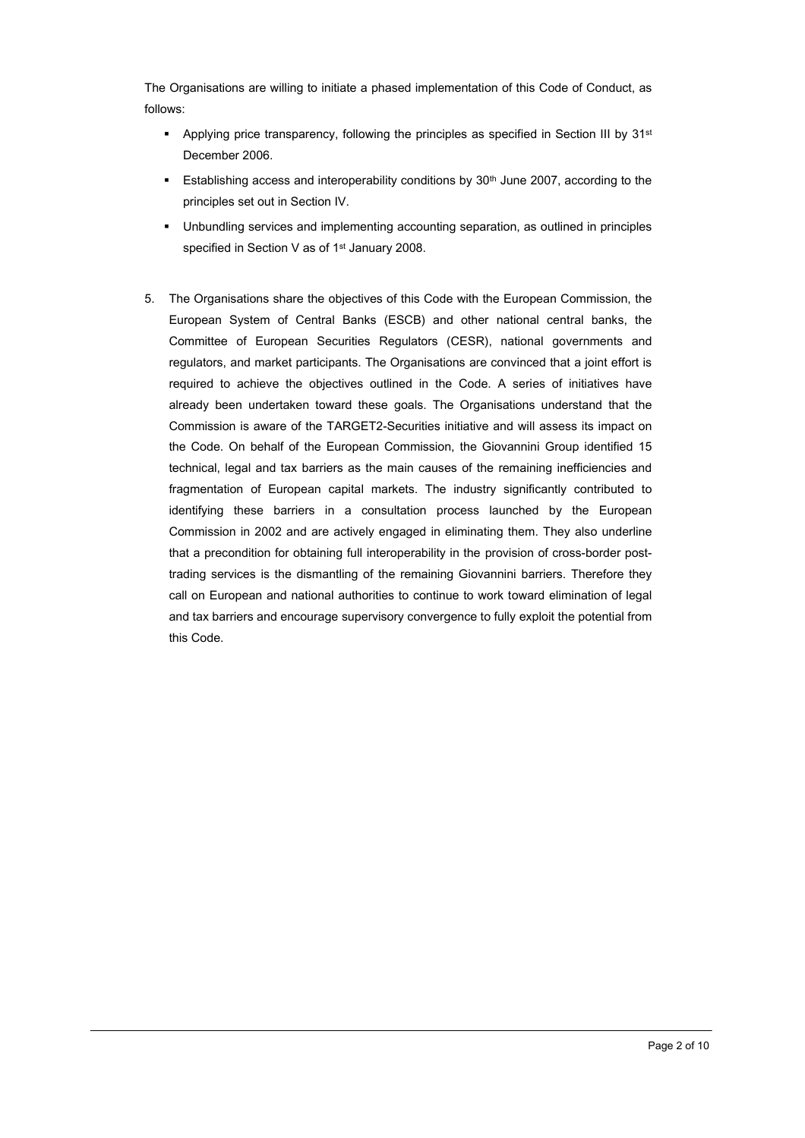The Organisations are willing to initiate a phased implementation of this Code of Conduct, as follows:

- Applying price transparency, following the principles as specified in Section III by  $31st$ December 2006.
- **Establishing access and interoperability conditions by 30th June 2007, according to the** principles set out in Section IV.
- Unbundling services and implementing accounting separation, as outlined in principles specified in Section V as of 1<sup>st</sup> January 2008.
- 5. The Organisations share the objectives of this Code with the European Commission, the European System of Central Banks (ESCB) and other national central banks, the Committee of European Securities Regulators (CESR), national governments and regulators, and market participants. The Organisations are convinced that a joint effort is required to achieve the objectives outlined in the Code. A series of initiatives have already been undertaken toward these goals. The Organisations understand that the Commission is aware of the TARGET2-Securities initiative and will assess its impact on the Code. On behalf of the European Commission, the Giovannini Group identified 15 technical, legal and tax barriers as the main causes of the remaining inefficiencies and fragmentation of European capital markets. The industry significantly contributed to identifying these barriers in a consultation process launched by the European Commission in 2002 and are actively engaged in eliminating them. They also underline that a precondition for obtaining full interoperability in the provision of cross-border posttrading services is the dismantling of the remaining Giovannini barriers. Therefore they call on European and national authorities to continue to work toward elimination of legal and tax barriers and encourage supervisory convergence to fully exploit the potential from this Code.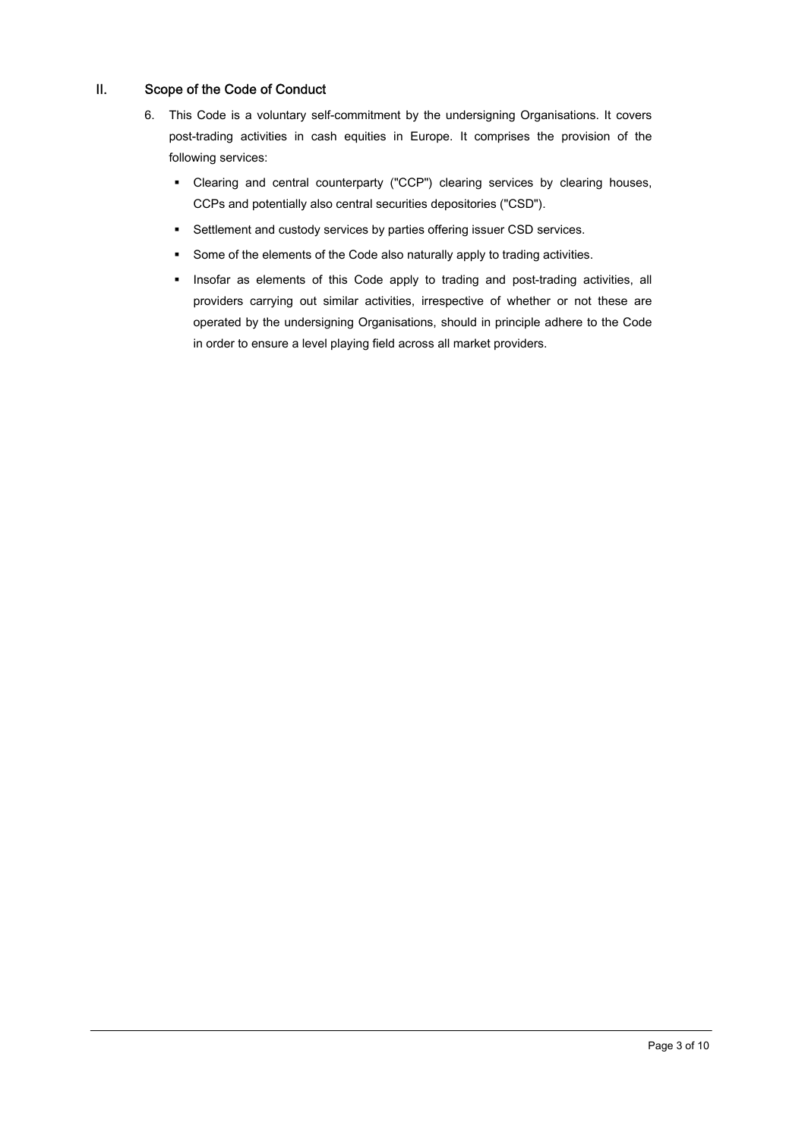# II. Scope of the Code of Conduct

- 6. This Code is a voluntary self-commitment by the undersigning Organisations. It covers post-trading activities in cash equities in Europe. It comprises the provision of the following services:
	- Clearing and central counterparty ("CCP") clearing services by clearing houses, CCPs and potentially also central securities depositories ("CSD").
	- Settlement and custody services by parties offering issuer CSD services.
	- Some of the elements of the Code also naturally apply to trading activities.
	- Insofar as elements of this Code apply to trading and post-trading activities, all providers carrying out similar activities, irrespective of whether or not these are operated by the undersigning Organisations, should in principle adhere to the Code in order to ensure a level playing field across all market providers.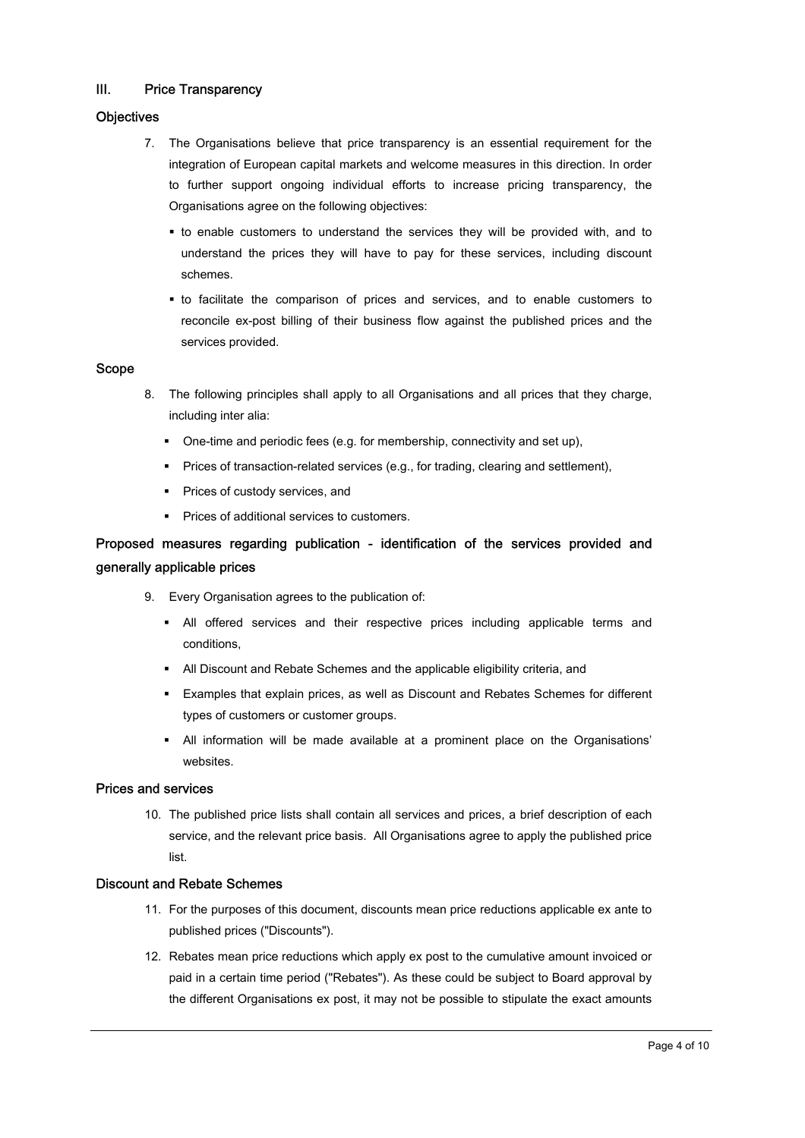# III. Price Transparency

### **Objectives**

- 7. The Organisations believe that price transparency is an essential requirement for the integration of European capital markets and welcome measures in this direction. In order to further support ongoing individual efforts to increase pricing transparency, the Organisations agree on the following objectives:
	- to enable customers to understand the services they will be provided with, and to understand the prices they will have to pay for these services, including discount schemes.
	- to facilitate the comparison of prices and services, and to enable customers to reconcile ex-post billing of their business flow against the published prices and the services provided.

### Scope

- 8. The following principles shall apply to all Organisations and all prices that they charge, including inter alia:
	- One-time and periodic fees (e.g. for membership, connectivity and set up),
	- **Prices of transaction-related services (e.g., for trading, clearing and settlement),**
	- **Prices of custody services, and**
	- Prices of additional services to customers.

# Proposed measures regarding publication - identification of the services provided and generally applicable prices

- 9. Every Organisation agrees to the publication of:
	- All offered services and their respective prices including applicable terms and conditions,
	- All Discount and Rebate Schemes and the applicable eligibility criteria, and
	- Examples that explain prices, as well as Discount and Rebates Schemes for different types of customers or customer groups.
	- All information will be made available at a prominent place on the Organisations' websites.

### Prices and services

10. The published price lists shall contain all services and prices, a brief description of each service, and the relevant price basis. All Organisations agree to apply the published price list.

### Discount and Rebate Schemes

- 11. For the purposes of this document, discounts mean price reductions applicable ex ante to published prices ("Discounts").
- 12. Rebates mean price reductions which apply ex post to the cumulative amount invoiced or paid in a certain time period ("Rebates"). As these could be subject to Board approval by the different Organisations ex post, it may not be possible to stipulate the exact amounts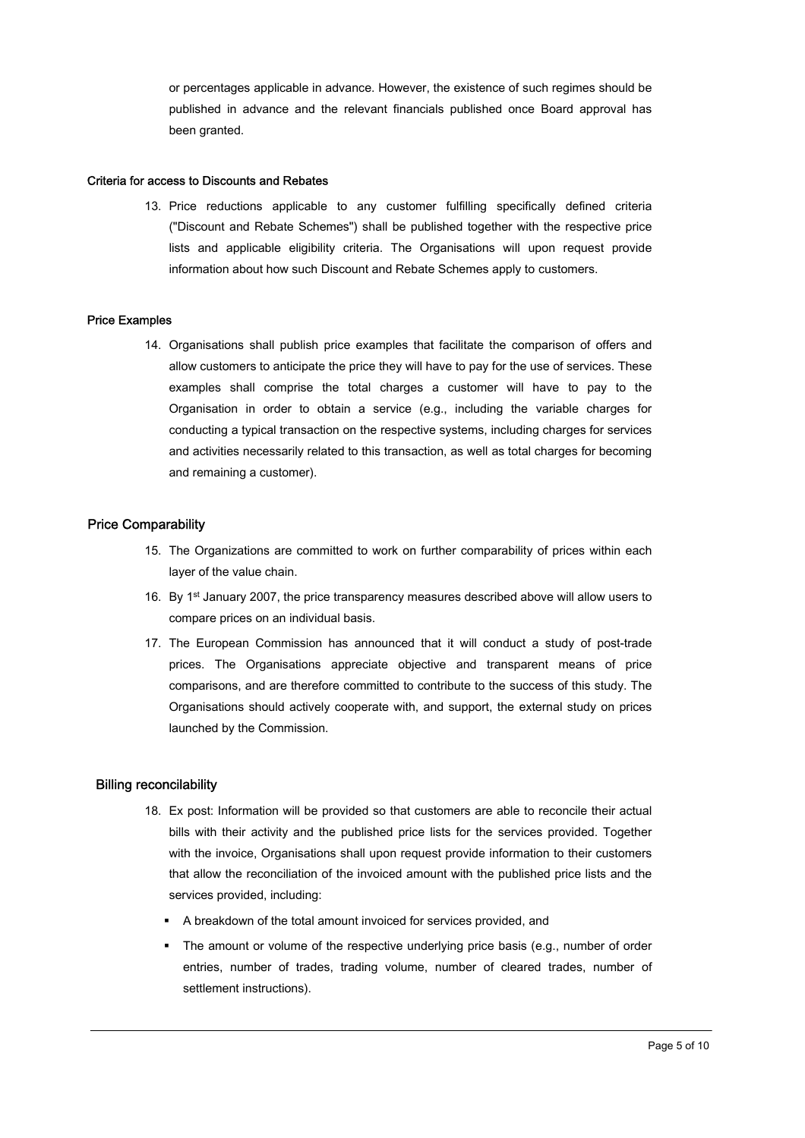or percentages applicable in advance. However, the existence of such regimes should be published in advance and the relevant financials published once Board approval has been granted.

#### Criteria for access to Discounts and Rebates

13. Price reductions applicable to any customer fulfilling specifically defined criteria ("Discount and Rebate Schemes") shall be published together with the respective price lists and applicable eligibility criteria. The Organisations will upon request provide information about how such Discount and Rebate Schemes apply to customers.

#### Price Examples

14. Organisations shall publish price examples that facilitate the comparison of offers and allow customers to anticipate the price they will have to pay for the use of services. These examples shall comprise the total charges a customer will have to pay to the Organisation in order to obtain a service (e.g., including the variable charges for conducting a typical transaction on the respective systems, including charges for services and activities necessarily related to this transaction, as well as total charges for becoming and remaining a customer).

# Price Comparability

- 15. The Organizations are committed to work on further comparability of prices within each layer of the value chain.
- 16. By 1st January 2007, the price transparency measures described above will allow users to compare prices on an individual basis.
- 17. The European Commission has announced that it will conduct a study of post-trade prices. The Organisations appreciate objective and transparent means of price comparisons, and are therefore committed to contribute to the success of this study. The Organisations should actively cooperate with, and support, the external study on prices launched by the Commission.

#### Billing reconcilability

- 18. Ex post: Information will be provided so that customers are able to reconcile their actual bills with their activity and the published price lists for the services provided. Together with the invoice, Organisations shall upon request provide information to their customers that allow the reconciliation of the invoiced amount with the published price lists and the services provided, including:
	- A breakdown of the total amount invoiced for services provided, and
	- The amount or volume of the respective underlying price basis (e.g., number of order entries, number of trades, trading volume, number of cleared trades, number of settlement instructions).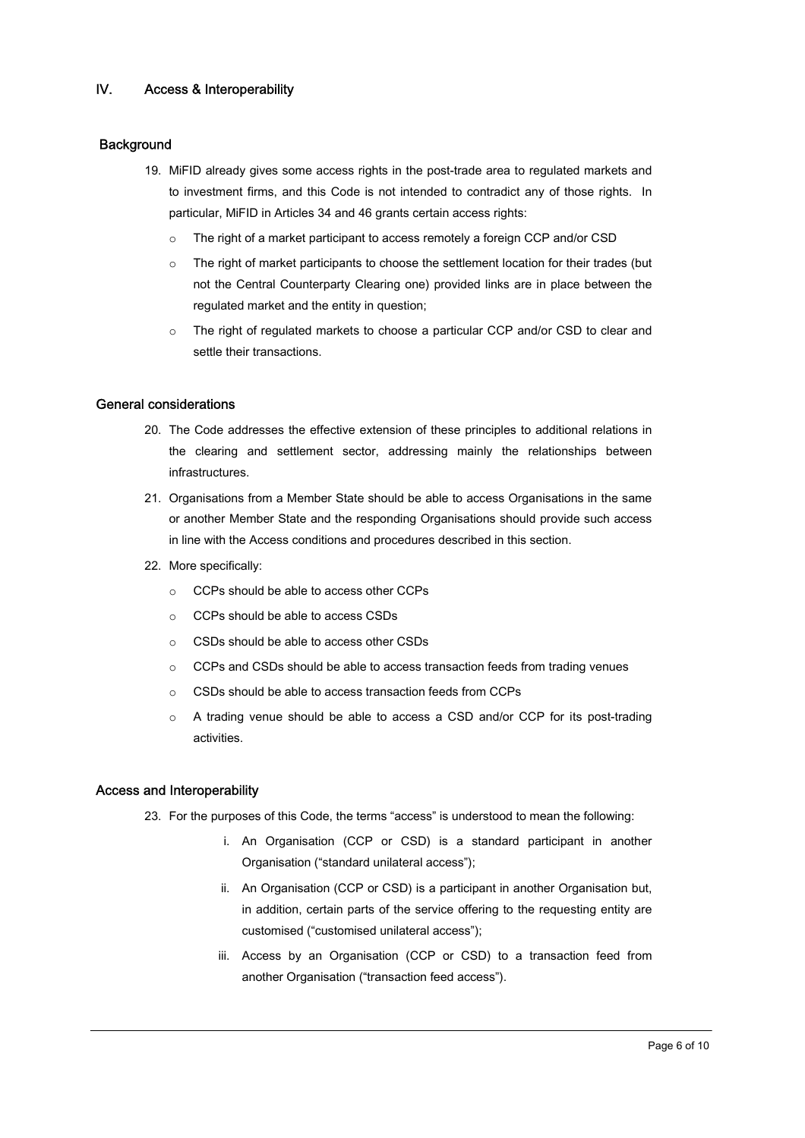# IV. Access & Interoperability

### **Background**

- 19. MiFID already gives some access rights in the post-trade area to regulated markets and to investment firms, and this Code is not intended to contradict any of those rights. In particular, MiFID in Articles 34 and 46 grants certain access rights:
	- The right of a market participant to access remotely a foreign CCP and/or CSD
	- o The right of market participants to choose the settlement location for their trades (but not the Central Counterparty Clearing one) provided links are in place between the regulated market and the entity in question;
	- o The right of regulated markets to choose a particular CCP and/or CSD to clear and settle their transactions.

#### General considerations

- 20. The Code addresses the effective extension of these principles to additional relations in the clearing and settlement sector, addressing mainly the relationships between infrastructures.
- 21. Organisations from a Member State should be able to access Organisations in the same or another Member State and the responding Organisations should provide such access in line with the Access conditions and procedures described in this section.
- 22. More specifically:
	- o CCPs should be able to access other CCPs
	- o CCPs should be able to access CSDs
	- o CSDs should be able to access other CSDs
	- o CCPs and CSDs should be able to access transaction feeds from trading venues
	- o CSDs should be able to access transaction feeds from CCPs
	- o A trading venue should be able to access a CSD and/or CCP for its post-trading activities.

### Access and Interoperability

- 23. For the purposes of this Code, the terms "access" is understood to mean the following:
	- i. An Organisation (CCP or CSD) is a standard participant in another Organisation ("standard unilateral access");
	- ii. An Organisation (CCP or CSD) is a participant in another Organisation but, in addition, certain parts of the service offering to the requesting entity are customised ("customised unilateral access");
	- iii. Access by an Organisation (CCP or CSD) to a transaction feed from another Organisation ("transaction feed access").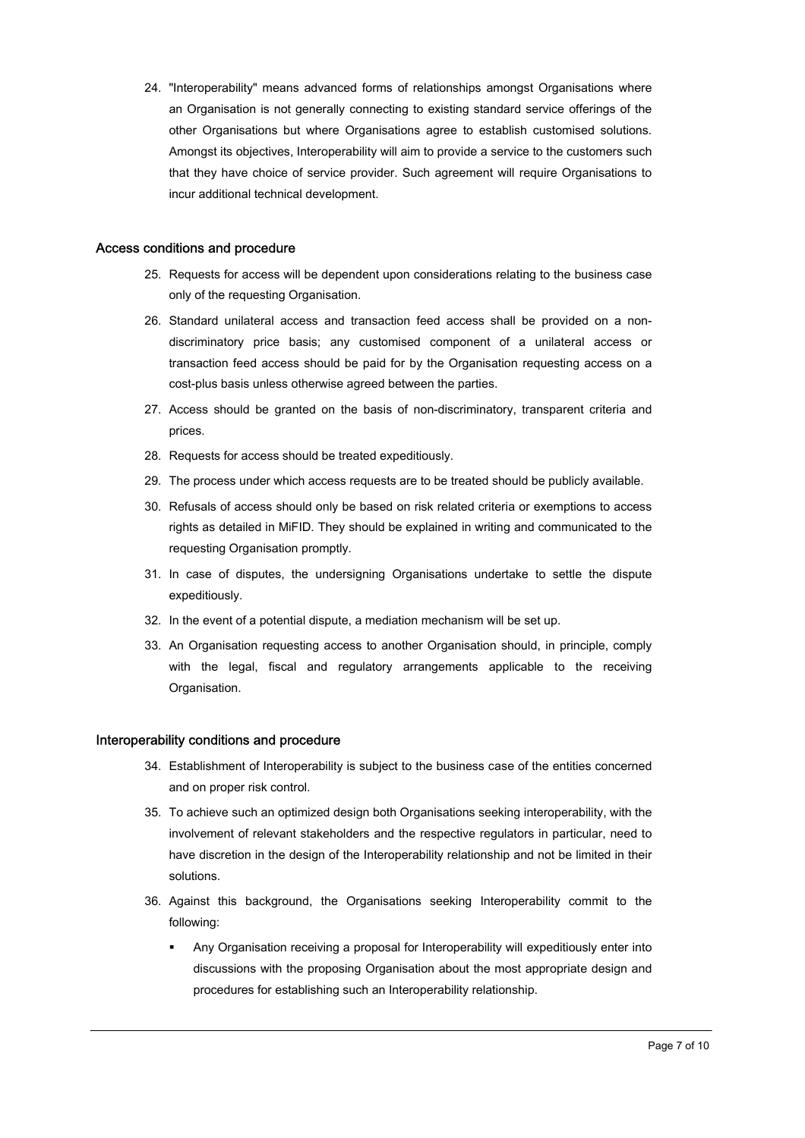24. "Interoperability" means advanced forms of relationships amongst Organisations where an Organisation is not generally connecting to existing standard service offerings of the other Organisations but where Organisations agree to establish customised solutions. Amongst its objectives, Interoperability will aim to provide a service to the customers such that they have choice of service provider. Such agreement will require Organisations to incur additional technical development.

### Access conditions and procedure

- 25. Requests for access will be dependent upon considerations relating to the business case only of the requesting Organisation.
- 26. Standard unilateral access and transaction feed access shall be provided on a nondiscriminatory price basis; any customised component of a unilateral access or transaction feed access should be paid for by the Organisation requesting access on a cost-plus basis unless otherwise agreed between the parties.
- 27. Access should be granted on the basis of non-discriminatory, transparent criteria and prices.
- 28. Requests for access should be treated expeditiously.
- 29. The process under which access requests are to be treated should be publicly available.
- 30. Refusals of access should only be based on risk related criteria or exemptions to access rights as detailed in MiFID. They should be explained in writing and communicated to the requesting Organisation promptly.
- 31. In case of disputes, the undersigning Organisations undertake to settle the dispute expeditiously.
- 32. In the event of a potential dispute, a mediation mechanism will be set up.
- 33. An Organisation requesting access to another Organisation should, in principle, comply with the legal, fiscal and regulatory arrangements applicable to the receiving Organisation.

#### Interoperability conditions and procedure

- 34. Establishment of Interoperability is subject to the business case of the entities concerned and on proper risk control.
- 35. To achieve such an optimized design both Organisations seeking interoperability, with the involvement of relevant stakeholders and the respective regulators in particular, need to have discretion in the design of the Interoperability relationship and not be limited in their solutions.
- 36. Against this background, the Organisations seeking Interoperability commit to the following:
	- Any Organisation receiving a proposal for Interoperability will expeditiously enter into discussions with the proposing Organisation about the most appropriate design and procedures for establishing such an Interoperability relationship.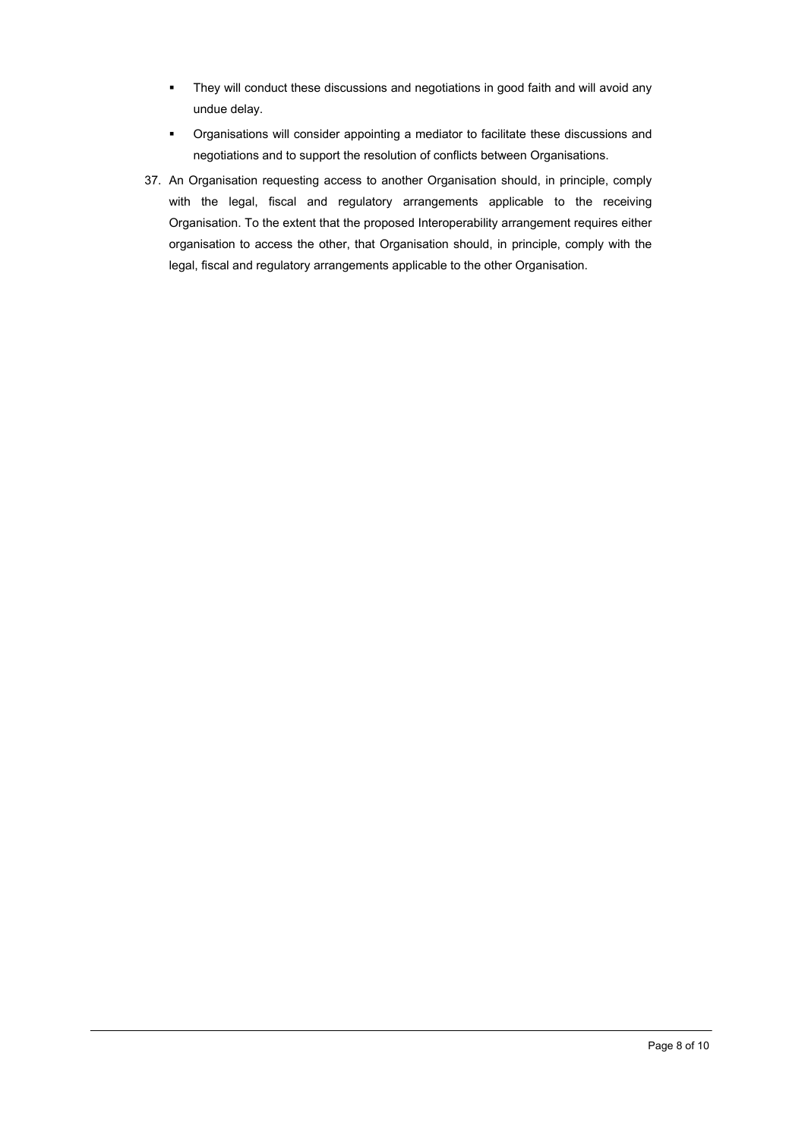- **They will conduct these discussions and negotiations in good faith and will avoid any** undue delay.
- Organisations will consider appointing a mediator to facilitate these discussions and negotiations and to support the resolution of conflicts between Organisations.
- 37. An Organisation requesting access to another Organisation should, in principle, comply with the legal, fiscal and regulatory arrangements applicable to the receiving Organisation. To the extent that the proposed Interoperability arrangement requires either organisation to access the other, that Organisation should, in principle, comply with the legal, fiscal and regulatory arrangements applicable to the other Organisation.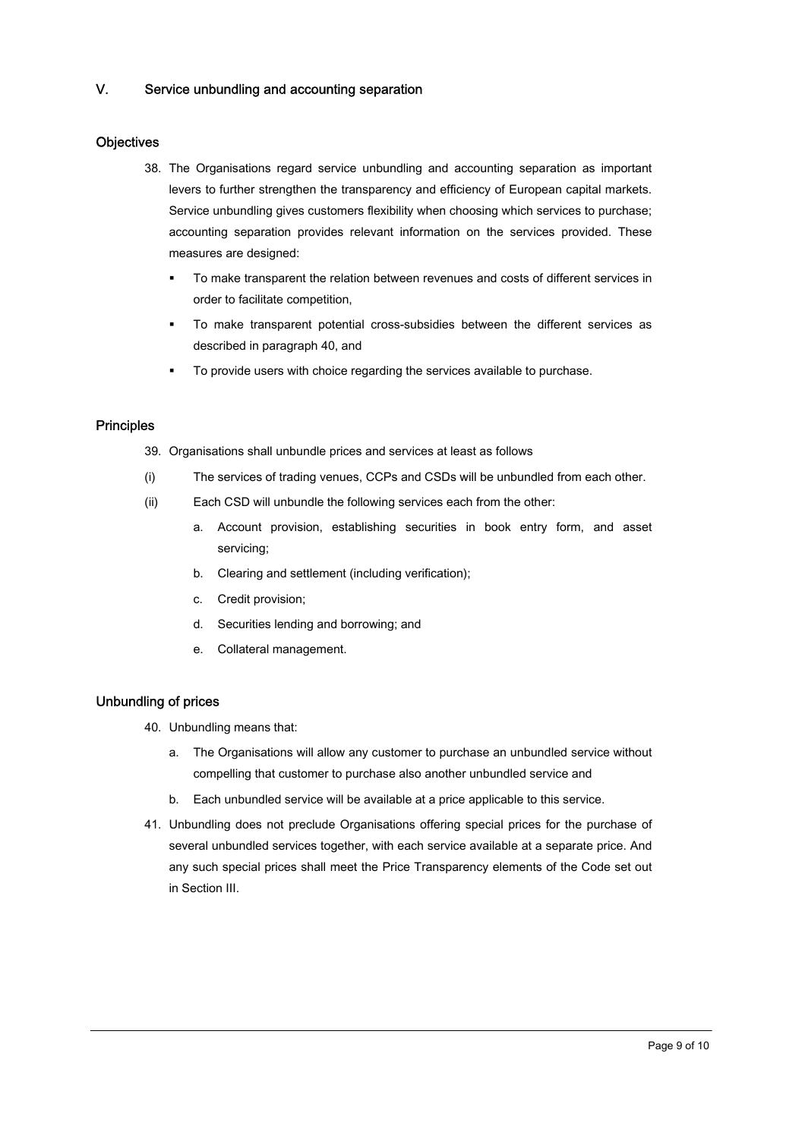# V. Service unbundling and accounting separation

# **Objectives**

- 38. The Organisations regard service unbundling and accounting separation as important levers to further strengthen the transparency and efficiency of European capital markets. Service unbundling gives customers flexibility when choosing which services to purchase; accounting separation provides relevant information on the services provided. These measures are designed:
	- To make transparent the relation between revenues and costs of different services in order to facilitate competition,
	- To make transparent potential cross-subsidies between the different services as described in paragraph 40, and
	- To provide users with choice regarding the services available to purchase.

### **Principles**

- 39. Organisations shall unbundle prices and services at least as follows
- (i) The services of trading venues, CCPs and CSDs will be unbundled from each other.
- (ii) Each CSD will unbundle the following services each from the other:
	- a. Account provision, establishing securities in book entry form, and asset servicing;
	- b. Clearing and settlement (including verification);
	- c. Credit provision;
	- d. Securities lending and borrowing; and
	- e. Collateral management.

### Unbundling of prices

- 40. Unbundling means that:
	- a. The Organisations will allow any customer to purchase an unbundled service without compelling that customer to purchase also another unbundled service and
	- b. Each unbundled service will be available at a price applicable to this service.
- 41. Unbundling does not preclude Organisations offering special prices for the purchase of several unbundled services together, with each service available at a separate price. And any such special prices shall meet the Price Transparency elements of the Code set out in Section III.